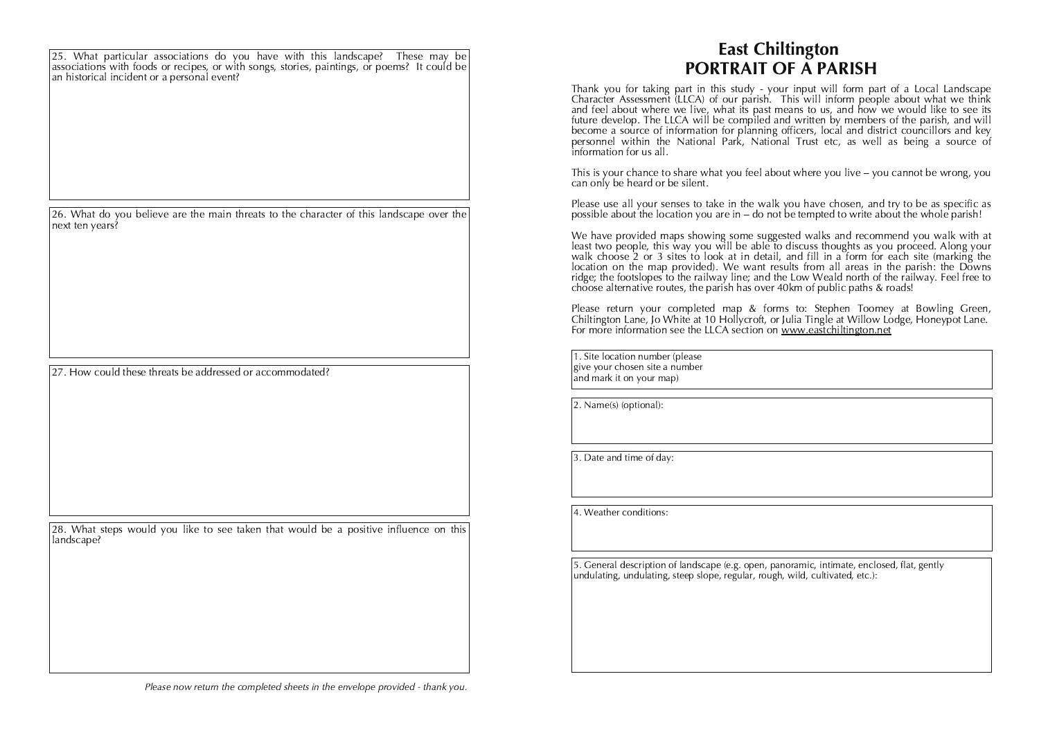25. What particular associations do you have with this landscape? These may be associations with foods or recipes, or with songs, stories, paintings, or poems? It could be an historical incident or a personal event?

26. What do you believe are the main threats to the character of this landscape over the next ten vears?

27. How could these threats be addressed or accommodated?

28. What steps would you like to see taken that would be a positive influence on this landscape?

## **East Chiltington** PORTRAIT OF A PARISH

Thank you for taking part in this study - your input will form part of a Local Landscape<br>Character Assessment (LLCA) of our parish. This will inform people about what we think and feel about where we live, what its past means to us, and how we would like to see its future develop. The LLCA will be compiled and written by members of the parish, and will become a source of information for planning officers, local and district councillors and key personnel within the National Park, National Trust etc, as well as being a source of information for us all.

This is your chance to share what you feel about where you live – you cannot be wrong, you can only be heard or be silent.

Please use all your senses to take in the walk you have chosen, and try to be as specific as possible about the location you are in – do not be tempted to write about the whole parish!

We have provided maps showing some suggested walks and recommend you walk with at least two people, this way you will be able to discuss thoughts as you proceed. Along your walk choose 2 or 3 sites to look at in detail, and fill in a form for each site (marking the location on the map provided). We want results from all areas in the parish: the Downs<br>ridge; the footslopes to the railway line; and the Low Weald north of the railway. Feel free to choose alternative routes, the parish has over 40km of public paths & roads!

Please return your completed map & forms to: Stephen Toomey at Bowling Green, Chiltington Lane, Jo White at 10 Hollycroft, or Julia Tingle at Willow Lodge, Honeypot Lane. For more information see the LLCA section on www.eastchiltington.net

1. Site location number (please give your chosen site a number  $\sin \theta$  mark it on your map)

 $\vert$ 2. Name(s) (optional):

3. Date and time of day:

 $\vert$ 4. Weather conditions:

5. General description of landscape (e.g. open, panoramic, intimate, enclosed, flat, gently undulating, undulating, steep slope, regular, rough, wild, cultivated, etc.):